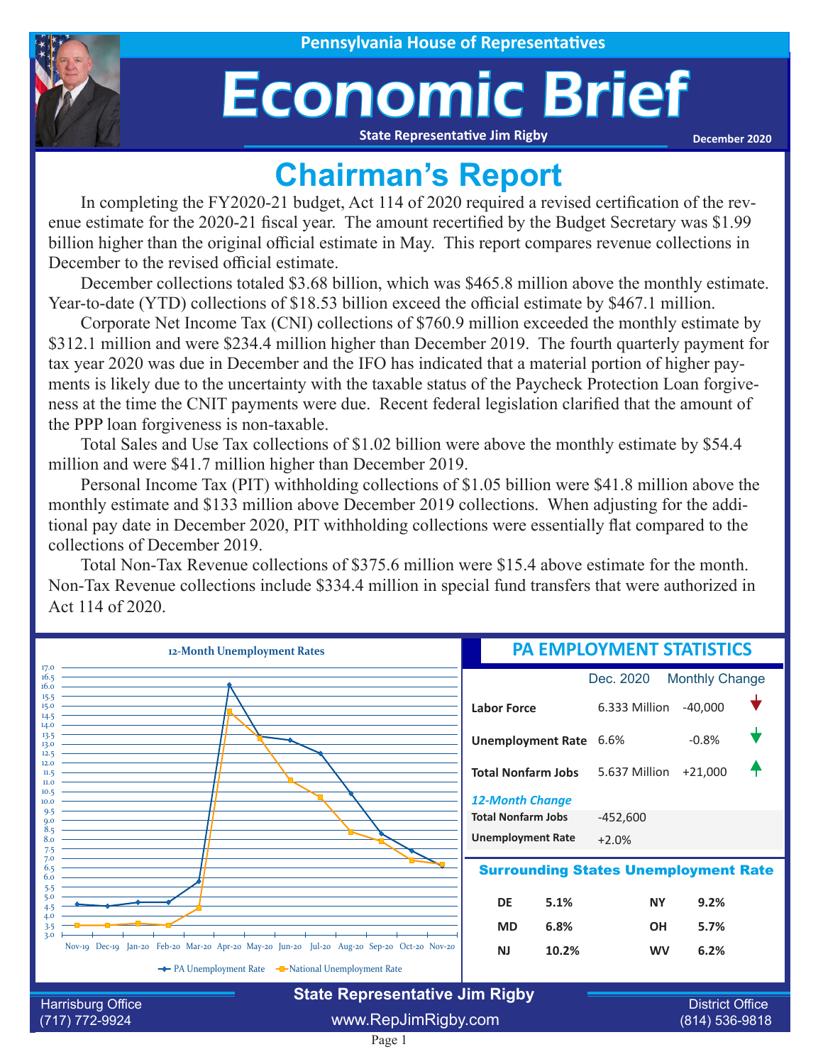## Economic Brief

**State Representative Jim Rigby**

**December 2020**

## **Chairman's Report**

In completing the FY2020-21 budget, Act 114 of 2020 required a revised certification of the revenue estimate for the 2020-21 fiscal year. The amount recertified by the Budget Secretary was \$1.99 billion higher than the original official estimate in May. This report compares revenue collections in December to the revised official estimate.

December collections totaled \$3.68 billion, which was \$465.8 million above the monthly estimate. Year-to-date (YTD) collections of \$18.53 billion exceed the official estimate by \$467.1 million.

Corporate Net Income Tax (CNI) collections of \$760.9 million exceeded the monthly estimate by \$312.1 million and were \$234.4 million higher than December 2019. The fourth quarterly payment for tax year 2020 was due in December and the IFO has indicated that a material portion of higher payments is likely due to the uncertainty with the taxable status of the Paycheck Protection Loan forgiveness at the time the CNIT payments were due. Recent federal legislation clarified that the amount of the PPP loan forgiveness is non-taxable.

Total Sales and Use Tax collections of \$1.02 billion were above the monthly estimate by \$54.4 million and were \$41.7 million higher than December 2019.

Personal Income Tax (PIT) withholding collections of \$1.05 billion were \$41.8 million above the monthly estimate and \$133 million above December 2019 collections. When adjusting for the additional pay date in December 2020, PIT withholding collections were essentially flat compared to the collections of December 2019.

Total Non-Tax Revenue collections of \$375.6 million were \$15.4 above estimate for the month. Non-Tax Revenue collections include \$334.4 million in special fund transfers that were authorized in Act 114 of 2020.

| 12-Month Unemployment Rates  |                                                                                            | PA EMPLOYMENT STATISTICS           |                           |                                             |           |  |
|------------------------------|--------------------------------------------------------------------------------------------|------------------------------------|---------------------------|---------------------------------------------|-----------|--|
| 17.0<br>16.5<br>16.0         |                                                                                            | <b>Monthly Change</b><br>Dec. 2020 |                           |                                             |           |  |
| 15.5<br>15.0<br>14.5         |                                                                                            | <b>Labor Force</b>                 |                           | 6.333 Million                               | $-40,000$ |  |
| 14.0<br>13.5<br>13.0<br>12.5 |                                                                                            | Unemployment Rate 6.6%             |                           |                                             | $-0.8%$   |  |
| 12.0<br>11.5<br>II.0         |                                                                                            |                                    | <b>Total Nonfarm Jobs</b> | 5.637 Million                               | $+21,000$ |  |
| 10.5<br>10.0                 |                                                                                            | <b>12-Month Change</b>             |                           |                                             |           |  |
| 9.5<br>$Q_{1}$<br>8.5        |                                                                                            | <b>Total Nonfarm Jobs</b>          |                           | $-452,600$                                  |           |  |
| 8.0<br>7.5                   |                                                                                            | <b>Unemployment Rate</b>           |                           | $+2.0%$                                     |           |  |
| 7.0<br>6.5<br>6.0<br>5.5     |                                                                                            |                                    |                           | <b>Surrounding States Unemployment Rate</b> |           |  |
| 5.0<br>4.5                   |                                                                                            | DE                                 | 5.1%                      | <b>NY</b>                                   | 9.2%      |  |
| 4.0<br>3.5                   |                                                                                            | <b>MD</b>                          | 6.8%                      | <b>OH</b>                                   | 5.7%      |  |
| 3.0 <sub>2</sub>             | Nov-19 Dec-19 Jan-20 Feb-20 Mar-20 Apr-20 May-20 Jun-20 Jul-20 Aug-20 Sep-20 Oct-20 Nov-20 | <b>NJ</b>                          | 10.2%                     | <b>WV</b>                                   | 6.2%      |  |
|                              | ← PA Unemployment Rate – National Unemployment Rate                                        |                                    |                           |                                             |           |  |
| Harrisburg Office            | <b>State Representative Jim Rigby</b>                                                      |                                    |                           | <b>District Office</b>                      |           |  |
| (717) 772-9924               | www.RepJimRigby.com                                                                        |                                    |                           | (814) 536-9818                              |           |  |